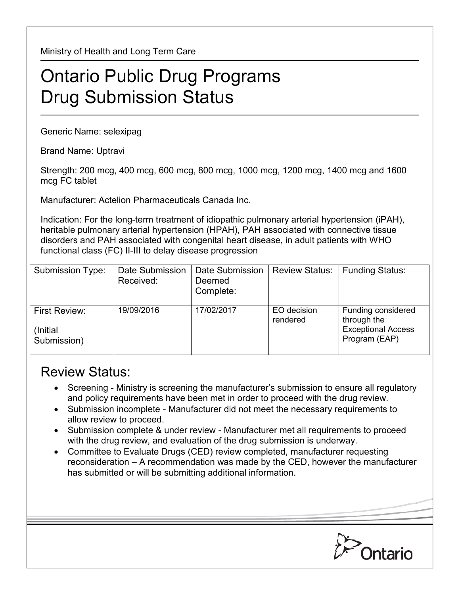Ministry of Health and Long Term Care

## Ontario Public Drug Programs Drug Submission Status

Generic Name: selexipag

Brand Name: Uptravi

Strength: 200 mcg, 400 mcg, 600 mcg, 800 mcg, 1000 mcg, 1200 mcg, 1400 mcg and 1600 mcg FC tablet

Manufacturer: Actelion Pharmaceuticals Canada Inc.

Indication: For the long-term treatment of idiopathic pulmonary arterial hypertension (iPAH), heritable pulmonary arterial hypertension (HPAH), PAH associated with connective tissue disorders and PAH associated with congenital heart disease, in adult patients with WHO functional class (FC) II-III to delay disease progression

| Submission Type:                          | Date Submission<br>Received: | Date Submission<br>Deemed<br>Complete: | <b>Review Status:</b>   | <b>Funding Status:</b>                                                          |
|-------------------------------------------|------------------------------|----------------------------------------|-------------------------|---------------------------------------------------------------------------------|
| First Review:<br>(Initial)<br>Submission) | 19/09/2016                   | 17/02/2017                             | EO decision<br>rendered | Funding considered<br>through the<br><b>Exceptional Access</b><br>Program (EAP) |

## Review Status:

- Screening Ministry is screening the manufacturer's submission to ensure all regulatory and policy requirements have been met in order to proceed with the drug review.
- Submission incomplete Manufacturer did not meet the necessary requirements to allow review to proceed.
- Submission complete & under review Manufacturer met all requirements to proceed with the drug review, and evaluation of the drug submission is underway.
- Committee to Evaluate Drugs (CED) review completed, manufacturer requesting reconsideration – A recommendation was made by the CED, however the manufacturer has submitted or will be submitting additional information.